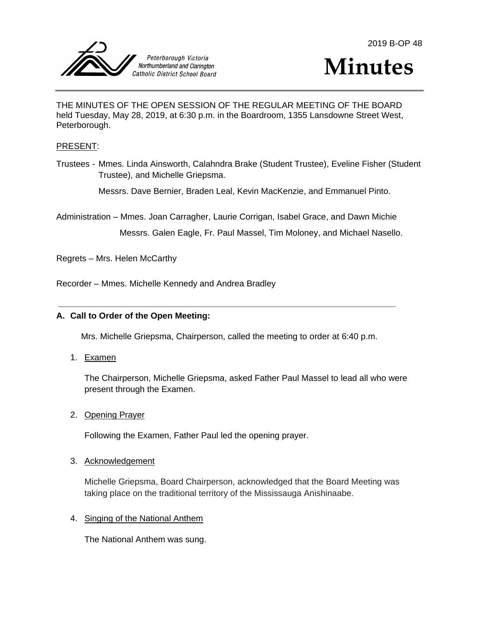



THE MINUTES OF THE OPEN SESSION OF THE REGULAR MEETING OF THE BOARD held Tuesday, May 28, 2019, at 6:30 p.m. in the Boardroom, 1355 Lansdowne Street West, Peterborough.

### PRESENT:

Trustees - Mmes. Linda Ainsworth, Calahndra Brake (Student Trustee), Eveline Fisher (Student Trustee), and Michelle Griepsma.

Messrs. Dave Bernier, Braden Leal, Kevin MacKenzie, and Emmanuel Pinto.

Administration – Mmes. Joan Carragher, Laurie Corrigan, Isabel Grace, and Dawn Michie

Messrs. Galen Eagle, Fr. Paul Massel, Tim Moloney, and Michael Nasello.

Regrets – Mrs. Helen McCarthy

Recorder – Mmes. Michelle Kennedy and Andrea Bradley

### **A. Call to Order of the Open Meeting:**

Mrs. Michelle Griepsma, Chairperson, called the meeting to order at 6:40 p.m.

1. Examen

The Chairperson, Michelle Griepsma, asked Father Paul Massel to lead all who were present through the Examen.

2. Opening Prayer

Following the Examen, Father Paul led the opening prayer.

#### 3. Acknowledgement

Michelle Griepsma, Board Chairperson, acknowledged that the Board Meeting was taking place on the traditional territory of the Mississauga Anishinaabe.

### 4. Singing of the National Anthem

The National Anthem was sung.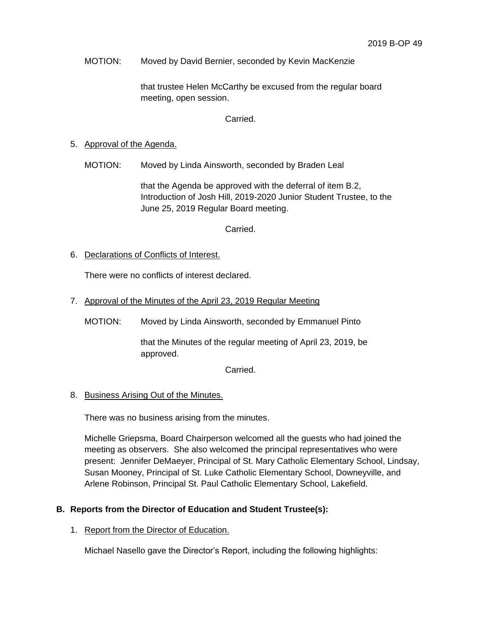MOTION: Moved by David Bernier, seconded by Kevin MacKenzie

that trustee Helen McCarthy be excused from the regular board meeting, open session.

Carried.

### 5. Approval of the Agenda.

MOTION: Moved by Linda Ainsworth, seconded by Braden Leal

that the Agenda be approved with the deferral of item B.2, Introduction of Josh Hill, 2019-2020 Junior Student Trustee, to the June 25, 2019 Regular Board meeting.

Carried.

6. Declarations of Conflicts of Interest.

There were no conflicts of interest declared.

7. Approval of the Minutes of the April 23, 2019 Regular Meeting

MOTION: Moved by Linda Ainsworth, seconded by Emmanuel Pinto

that the Minutes of the regular meeting of April 23, 2019, be approved.

Carried.

## 8. Business Arising Out of the Minutes.

There was no business arising from the minutes.

Michelle Griepsma, Board Chairperson welcomed all the guests who had joined the meeting as observers. She also welcomed the principal representatives who were present: Jennifer DeMaeyer, Principal of St. Mary Catholic Elementary School, Lindsay, Susan Mooney, Principal of St. Luke Catholic Elementary School, Downeyville, and Arlene Robinson, Principal St. Paul Catholic Elementary School, Lakefield.

## **B. Reports from the Director of Education and Student Trustee(s):**

### 1. Report from the Director of Education.

Michael Nasello gave the Director's Report, including the following highlights: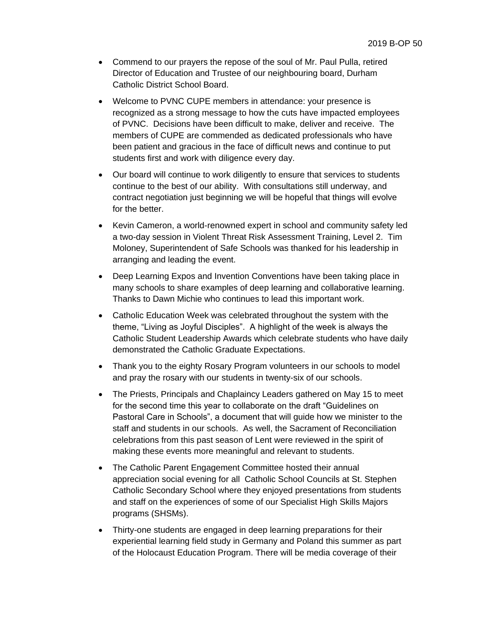- Commend to our prayers the repose of the soul of Mr. Paul Pulla, retired Director of Education and Trustee of our neighbouring board, Durham Catholic District School Board.
- Welcome to PVNC CUPE members in attendance: your presence is recognized as a strong message to how the cuts have impacted employees of PVNC. Decisions have been difficult to make, deliver and receive. The members of CUPE are commended as dedicated professionals who have been patient and gracious in the face of difficult news and continue to put students first and work with diligence every day.
- Our board will continue to work diligently to ensure that services to students continue to the best of our ability. With consultations still underway, and contract negotiation just beginning we will be hopeful that things will evolve for the better.
- Kevin Cameron, a world-renowned expert in school and community safety led a two-day session in Violent Threat Risk Assessment Training, Level 2. Tim Moloney, Superintendent of Safe Schools was thanked for his leadership in arranging and leading the event.
- Deep Learning Expos and Invention Conventions have been taking place in many schools to share examples of deep learning and collaborative learning. Thanks to Dawn Michie who continues to lead this important work.
- Catholic Education Week was celebrated throughout the system with the theme, "Living as Joyful Disciples". A highlight of the week is always the Catholic Student Leadership Awards which celebrate students who have daily demonstrated the Catholic Graduate Expectations.
- Thank you to the eighty Rosary Program volunteers in our schools to model and pray the rosary with our students in twenty-six of our schools.
- The Priests, Principals and Chaplaincy Leaders gathered on May 15 to meet for the second time this year to collaborate on the draft "Guidelines on Pastoral Care in Schools", a document that will guide how we minister to the staff and students in our schools. As well, the Sacrament of Reconciliation celebrations from this past season of Lent were reviewed in the spirit of making these events more meaningful and relevant to students.
- The Catholic Parent Engagement Committee hosted their annual appreciation social evening for all Catholic School Councils at St. Stephen Catholic Secondary School where they enjoyed presentations from students and staff on the experiences of some of our Specialist High Skills Majors programs (SHSMs).
- Thirty-one students are engaged in deep learning preparations for their experiential learning field study in Germany and Poland this summer as part of the Holocaust Education Program. There will be media coverage of their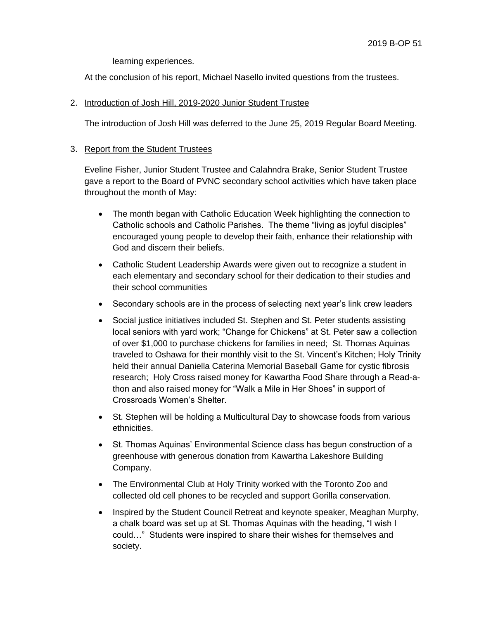learning experiences.

At the conclusion of his report, Michael Nasello invited questions from the trustees.

## 2. Introduction of Josh Hill, 2019-2020 Junior Student Trustee

The introduction of Josh Hill was deferred to the June 25, 2019 Regular Board Meeting.

### 3. Report from the Student Trustees

Eveline Fisher, Junior Student Trustee and Calahndra Brake, Senior Student Trustee gave a report to the Board of PVNC secondary school activities which have taken place throughout the month of May:

- The month began with Catholic Education Week highlighting the connection to Catholic schools and Catholic Parishes. The theme "living as joyful disciples" encouraged young people to develop their faith, enhance their relationship with God and discern their beliefs.
- Catholic Student Leadership Awards were given out to recognize a student in each elementary and secondary school for their dedication to their studies and their school communities
- Secondary schools are in the process of selecting next year's link crew leaders
- Social justice initiatives included St. Stephen and St. Peter students assisting local seniors with yard work; "Change for Chickens" at St. Peter saw a collection of over \$1,000 to purchase chickens for families in need; St. Thomas Aquinas traveled to Oshawa for their monthly visit to the St. Vincent's Kitchen; Holy Trinity held their annual Daniella Caterina Memorial Baseball Game for cystic fibrosis research; Holy Cross raised money for Kawartha Food Share through a Read-athon and also raised money for "Walk a Mile in Her Shoes" in support of Crossroads Women's Shelter.
- St. Stephen will be holding a Multicultural Day to showcase foods from various ethnicities.
- St. Thomas Aquinas' Environmental Science class has begun construction of a greenhouse with generous donation from Kawartha Lakeshore Building Company.
- The Environmental Club at Holy Trinity worked with the Toronto Zoo and collected old cell phones to be recycled and support Gorilla conservation.
- Inspired by the Student Council Retreat and keynote speaker, Meaghan Murphy, a chalk board was set up at St. Thomas Aquinas with the heading, "I wish I could…" Students were inspired to share their wishes for themselves and society.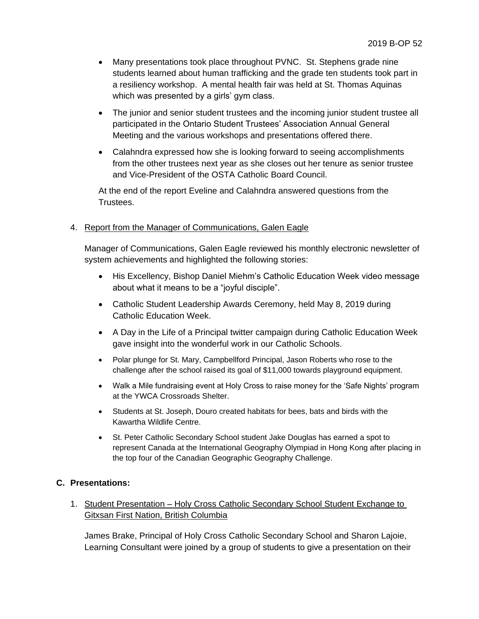- Many presentations took place throughout PVNC. St. Stephens grade nine students learned about human trafficking and the grade ten students took part in a resiliency workshop. A mental health fair was held at St. Thomas Aquinas which was presented by a girls' gym class.
- The junior and senior student trustees and the incoming junior student trustee all participated in the Ontario Student Trustees' Association Annual General Meeting and the various workshops and presentations offered there.
- Calahndra expressed how she is looking forward to seeing accomplishments from the other trustees next year as she closes out her tenure as senior trustee and Vice-President of the OSTA Catholic Board Council.

At the end of the report Eveline and Calahndra answered questions from the Trustees.

## 4. Report from the Manager of Communications, Galen Eagle

Manager of Communications, Galen Eagle reviewed his monthly electronic newsletter of system achievements and highlighted the following stories:

- His Excellency, Bishop Daniel Miehm's Catholic Education Week video message about what it means to be a "joyful disciple".
- Catholic Student Leadership Awards Ceremony, held May 8, 2019 during Catholic Education Week.
- A Day in the Life of a Principal twitter campaign during Catholic Education Week gave insight into the wonderful work in our Catholic Schools.
- Polar plunge for St. Mary, Campbellford Principal, Jason Roberts who rose to the challenge after the school raised its goal of \$11,000 towards playground equipment.
- Walk a Mile fundraising event at Holy Cross to raise money for the 'Safe Nights' program at the YWCA Crossroads Shelter.
- Students at St. Joseph, Douro created habitats for bees, bats and birds with the Kawartha Wildlife Centre.
- St. Peter Catholic Secondary School student Jake Douglas has earned a spot to represent Canada at the International Geography Olympiad in Hong Kong after placing in the top four of the Canadian Geographic Geography Challenge.

## **C. Presentations:**

1. Student Presentation – Holy Cross Catholic Secondary School Student Exchange to Gitxsan First Nation, British Columbia

James Brake, Principal of Holy Cross Catholic Secondary School and Sharon Lajoie, Learning Consultant were joined by a group of students to give a presentation on their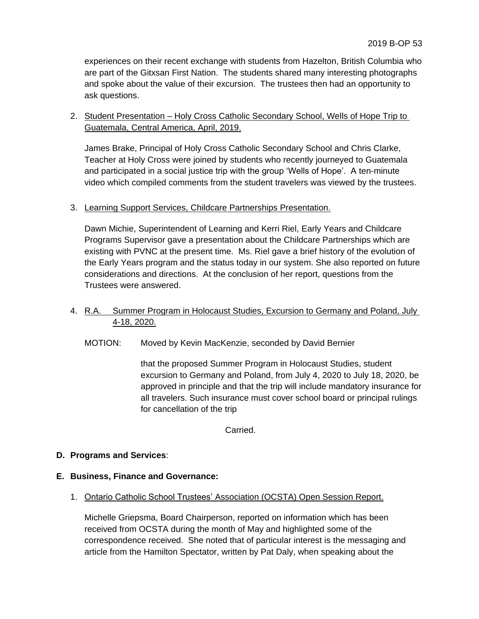experiences on their recent exchange with students from Hazelton, British Columbia who are part of the Gitxsan First Nation. The students shared many interesting photographs and spoke about the value of their excursion. The trustees then had an opportunity to ask questions.

## 2. Student Presentation - Holy Cross Catholic Secondary School, Wells of Hope Trip to Guatemala, Central America, April, 2019.

James Brake, Principal of Holy Cross Catholic Secondary School and Chris Clarke, Teacher at Holy Cross were joined by students who recently journeyed to Guatemala and participated in a social justice trip with the group 'Wells of Hope'. A ten-minute video which compiled comments from the student travelers was viewed by the trustees.

## 3. Learning Support Services, Childcare Partnerships Presentation.

Dawn Michie, Superintendent of Learning and Kerri Riel, Early Years and Childcare Programs Supervisor gave a presentation about the Childcare Partnerships which are existing with PVNC at the present time. Ms. Riel gave a brief history of the evolution of the Early Years program and the status today in our system. She also reported on future considerations and directions. At the conclusion of her report, questions from the Trustees were answered.

## 4. R.A. Summer Program in Holocaust Studies, Excursion to Germany and Poland, July 4-18, 2020.

MOTION: Moved by Kevin MacKenzie, seconded by David Bernier

that the proposed Summer Program in Holocaust Studies, student excursion to Germany and Poland, from July 4, 2020 to July 18, 2020, be approved in principle and that the trip will include mandatory insurance for all travelers. Such insurance must cover school board or principal rulings for cancellation of the trip

Carried.

## **D. Programs and Services**:

## **E. Business, Finance and Governance:**

## 1. Ontario Catholic School Trustees' Association (OCSTA) Open Session Report.

Michelle Griepsma, Board Chairperson, reported on information which has been received from OCSTA during the month of May and highlighted some of the correspondence received. She noted that of particular interest is the messaging and article from the Hamilton Spectator, written by Pat Daly, when speaking about the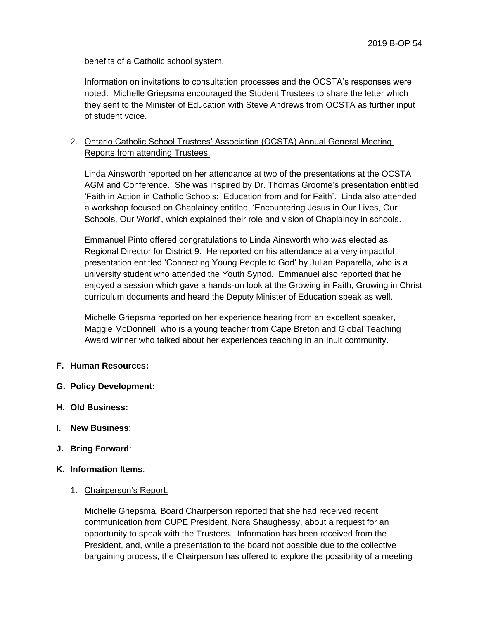benefits of a Catholic school system.

Information on invitations to consultation processes and the OCSTA's responses were noted. Michelle Griepsma encouraged the Student Trustees to share the letter which they sent to the Minister of Education with Steve Andrews from OCSTA as further input of student voice.

## 2. Ontario Catholic School Trustees' Association (OCSTA) Annual General Meeting Reports from attending Trustees.

Linda Ainsworth reported on her attendance at two of the presentations at the OCSTA AGM and Conference. She was inspired by Dr. Thomas Groome's presentation entitled 'Faith in Action in Catholic Schools: Education from and for Faith'. Linda also attended a workshop focused on Chaplaincy entitled, 'Encountering Jesus in Our Lives, Our Schools, Our World', which explained their role and vision of Chaplaincy in schools.

Emmanuel Pinto offered congratulations to Linda Ainsworth who was elected as Regional Director for District 9. He reported on his attendance at a very impactful presentation entitled 'Connecting Young People to God' by Julian Paparella, who is a university student who attended the Youth Synod. Emmanuel also reported that he enjoyed a session which gave a hands-on look at the Growing in Faith, Growing in Christ curriculum documents and heard the Deputy Minister of Education speak as well.

Michelle Griepsma reported on her experience hearing from an excellent speaker, Maggie McDonnell, who is a young teacher from Cape Breton and Global Teaching Award winner who talked about her experiences teaching in an Inuit community.

## **F. Human Resources:**

- **G. Policy Development:**
- **H. Old Business:**
- **I. New Business**:
- **J. Bring Forward**:

## **K. Information Items**:

1. Chairperson's Report.

Michelle Griepsma, Board Chairperson reported that she had received recent communication from CUPE President, Nora Shaughessy, about a request for an opportunity to speak with the Trustees. Information has been received from the President, and, while a presentation to the board not possible due to the collective bargaining process, the Chairperson has offered to explore the possibility of a meeting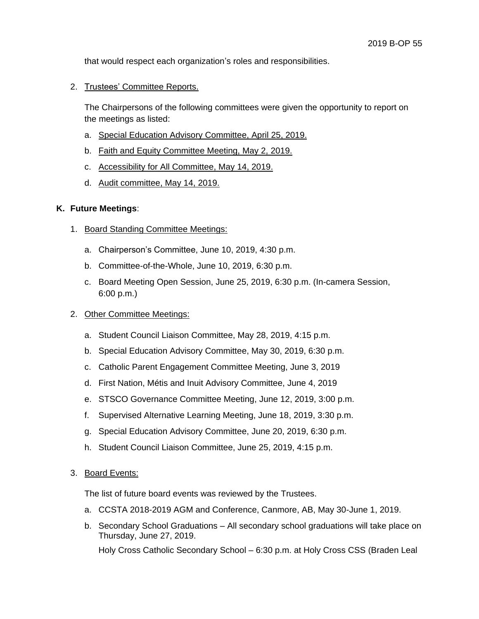that would respect each organization's roles and responsibilities.

2. Trustees' Committee Reports.

The Chairpersons of the following committees were given the opportunity to report on the meetings as listed:

- a. Special Education Advisory Committee, April 25, 2019.
- b. Faith and Equity Committee Meeting, May 2, 2019.
- c. Accessibility for All Committee, May 14, 2019.
- d. Audit committee, May 14, 2019.

### **K. Future Meetings**:

- 1. Board Standing Committee Meetings:
	- a. Chairperson's Committee, June 10, 2019, 4:30 p.m.
	- b. Committee-of-the-Whole, June 10, 2019, 6:30 p.m.
	- c. Board Meeting Open Session, June 25, 2019, 6:30 p.m. (In-camera Session, 6:00 p.m.)

### 2. Other Committee Meetings:

- a. Student Council Liaison Committee, May 28, 2019, 4:15 p.m.
- b. Special Education Advisory Committee, May 30, 2019, 6:30 p.m.
- c. Catholic Parent Engagement Committee Meeting, June 3, 2019
- d. First Nation, Métis and Inuit Advisory Committee, June 4, 2019
- e. STSCO Governance Committee Meeting, June 12, 2019, 3:00 p.m.
- f. Supervised Alternative Learning Meeting, June 18, 2019, 3:30 p.m.
- g. Special Education Advisory Committee, June 20, 2019, 6:30 p.m.
- h. Student Council Liaison Committee, June 25, 2019, 4:15 p.m.

### 3. Board Events:

The list of future board events was reviewed by the Trustees.

- a. CCSTA 2018-2019 AGM and Conference, Canmore, AB, May 30-June 1, 2019.
- b. Secondary School Graduations All secondary school graduations will take place on Thursday, June 27, 2019.

Holy Cross Catholic Secondary School – 6:30 p.m. at Holy Cross CSS (Braden Leal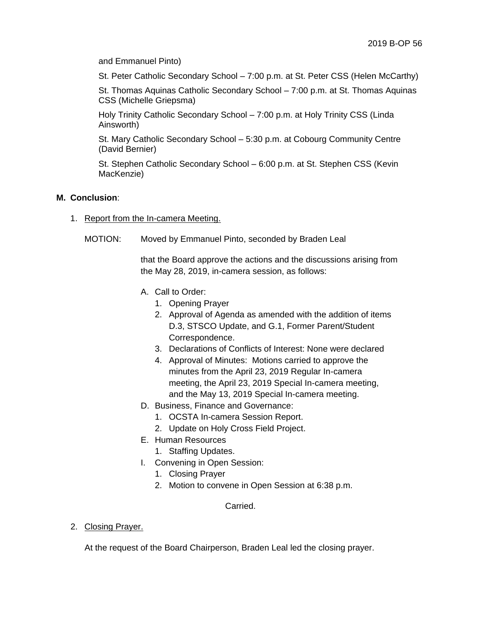and Emmanuel Pinto)

St. Peter Catholic Secondary School – 7:00 p.m. at St. Peter CSS (Helen McCarthy)

St. Thomas Aquinas Catholic Secondary School – 7:00 p.m. at St. Thomas Aquinas CSS (Michelle Griepsma)

Holy Trinity Catholic Secondary School – 7:00 p.m. at Holy Trinity CSS (Linda Ainsworth)

St. Mary Catholic Secondary School – 5:30 p.m. at Cobourg Community Centre (David Bernier)

St. Stephen Catholic Secondary School – 6:00 p.m. at St. Stephen CSS (Kevin MacKenzie)

### **M. Conclusion**:

- 1. Report from the In-camera Meeting.
	- MOTION: Moved by Emmanuel Pinto, seconded by Braden Leal

that the Board approve the actions and the discussions arising from the May 28, 2019, in-camera session, as follows:

- A. Call to Order:
	- 1. Opening Prayer
	- 2. Approval of Agenda as amended with the addition of items D.3, STSCO Update, and G.1, Former Parent/Student Correspondence.
	- 3. Declarations of Conflicts of Interest: None were declared
	- 4. Approval of Minutes: Motions carried to approve the minutes from the April 23, 2019 Regular In-camera meeting, the April 23, 2019 Special In-camera meeting, and the May 13, 2019 Special In-camera meeting.
- D. Business, Finance and Governance:
	- 1. OCSTA In-camera Session Report.
	- 2. Update on Holy Cross Field Project.
- E. Human Resources
	- 1. Staffing Updates.
- I. Convening in Open Session:
	- 1. Closing Prayer
	- 2. Motion to convene in Open Session at 6:38 p.m.

Carried.

2. Closing Prayer.

At the request of the Board Chairperson, Braden Leal led the closing prayer.